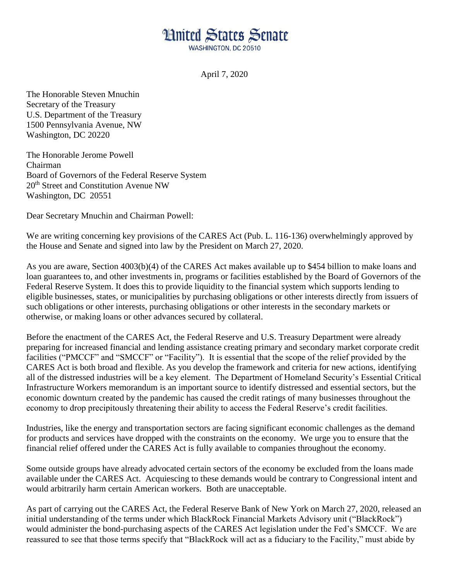## **Limited States Senate**

WASHINGTON, DC 20510

April 7, 2020

The Honorable Steven Mnuchin Secretary of the Treasury U.S. Department of the Treasury 1500 Pennsylvania Avenue, NW Washington, DC 20220

The Honorable Jerome Powell Chairman Board of Governors of the Federal Reserve System 20<sup>th</sup> Street and Constitution Avenue NW Washington, DC 20551

Dear Secretary Mnuchin and Chairman Powell:

We are writing concerning key provisions of the CARES Act (Pub. L. 116-136) overwhelmingly approved by the House and Senate and signed into law by the President on March 27, 2020.

As you are aware, Section 4003(b)(4) of the CARES Act makes available up to \$454 billion to make loans and loan guarantees to, and other investments in, programs or facilities established by the Board of Governors of the Federal Reserve System. It does this to provide liquidity to the financial system which supports lending to eligible businesses, states, or municipalities by purchasing obligations or other interests directly from issuers of such obligations or other interests, purchasing obligations or other interests in the secondary markets or otherwise, or making loans or other advances secured by collateral.

Before the enactment of the CARES Act, the Federal Reserve and U.S. Treasury Department were already preparing for increased financial and lending assistance creating primary and secondary market corporate credit facilities ("PMCCF" and "SMCCF" or "Facility"). It is essential that the scope of the relief provided by the CARES Act is both broad and flexible. As you develop the framework and criteria for new actions, identifying all of the distressed industries will be a key element. The Department of Homeland Security's Essential Critical Infrastructure Workers memorandum is an important source to identify distressed and essential sectors, but the economic downturn created by the pandemic has caused the credit ratings of many businesses throughout the economy to drop precipitously threatening their ability to access the Federal Reserve's credit facilities.

Industries, like the energy and transportation sectors are facing significant economic challenges as the demand for products and services have dropped with the constraints on the economy. We urge you to ensure that the financial relief offered under the CARES Act is fully available to companies throughout the economy.

Some outside groups have already advocated certain sectors of the economy be excluded from the loans made available under the CARES Act. Acquiescing to these demands would be contrary to Congressional intent and would arbitrarily harm certain American workers. Both are unacceptable.

As part of carrying out the CARES Act, the Federal Reserve Bank of New York on March 27, 2020, released an initial understanding of the terms under which BlackRock Financial Markets Advisory unit ("BlackRock") would administer the bond-purchasing aspects of the CARES Act legislation under the Fed's SMCCF. We are reassured to see that those terms specify that "BlackRock will act as a fiduciary to the Facility," must abide by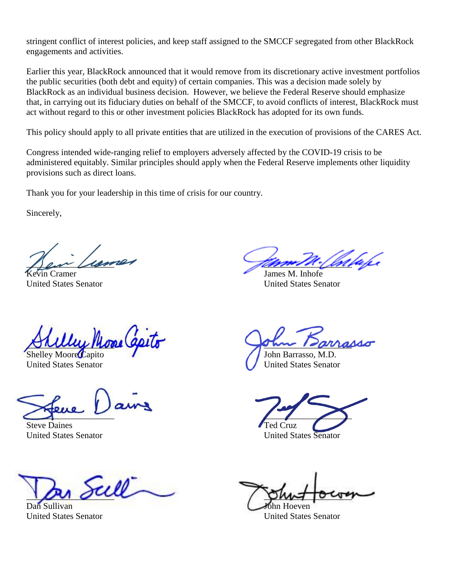stringent conflict of interest policies, and keep staff assigned to the SMCCF segregated from other BlackRock engagements and activities.

Earlier this year, BlackRock announced that it would remove from its discretionary active investment portfolios the public securities (both debt and equity) of certain companies. This was a decision made solely by BlackRock as an individual business decision. However, we believe the Federal Reserve should emphasize that, in carrying out its fiduciary duties on behalf of the SMCCF, to avoid conflicts of interest, BlackRock must act without regard to this or other investment policies BlackRock has adopted for its own funds.

This policy should apply to all private entities that are utilized in the execution of provisions of the CARES Act.

Congress intended wide-ranging relief to employers adversely affected by the COVID-19 crisis to be administered equitably. Similar principles should apply when the Federal Reserve implements other liquidity provisions such as direct loans.

Thank you for your leadership in this time of crisis for our country.

Sincerely,

 $\frac{1}{2}$ 

United States Senator United States Senator

 $\beta$  rule prove get  $\beta$ 

 $\sum_{i=1}^n x_i$ 

**Steve Daines** United States Senator United States Senator

 $\frac{1}{2}$  out  $\frac{1}{2}$  and  $\frac{1}{2}$ 

Dan Sullivan John Hoeven

Vin Cramer James M. Inhofe

Shelley Moore Capito John Barrasso, M.D. United States Senator **United States Senator** 

United States Senator United States Senator